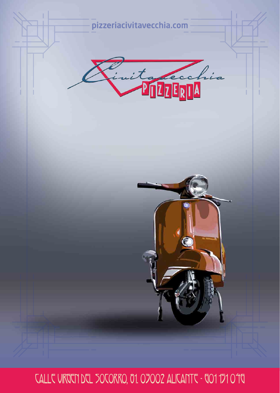

CALLE VIRGEN DEL SOCORRO, 01. 07002 ALICANTE - 001 171 010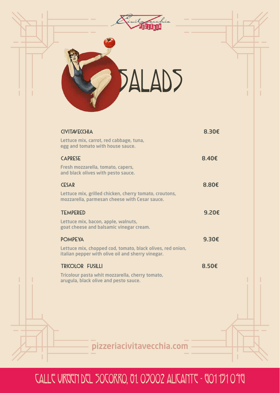

pizzeriacivitavecchia.com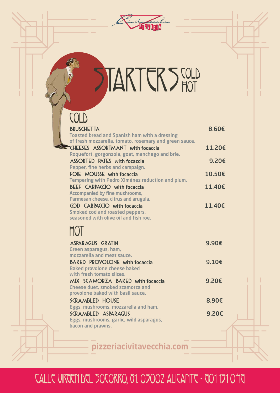

# STARTER STOLD

#### BRUSCHETTA 8.60€ Toasted bread and Spanish ham with a dressing of fresh mozzarella, tomato, rosemary and green sauce. CHEESES ASSORTMANT with focaccia  $11.206$ Roquefort, gorgonzola, goat, manchego and brie. ASSORTED PATES with focaccia 9.20€ Pepper, fine herbs and campaign. FOIE MOUSSE with focaccia 10.50€ Tempering with Pedro Ximénez reduction and plum. BEEF CARPACCIO with focaccia 11.40€ Accompanied by fine mushrooms, Parmesan cheese, citrus and arugula. COD CARPACCIO with focaccia 11.40€ Smoked cod and roasted peppers, seasoned with olive oil and fish roe. COLD HOT ASPARAGUS GRATIN 9.90€ Green asparagus, ham, mozzarella and meat sauce. BAKED PROVOLONE with focaccia 9.10€ Baked provolone cheese baked with fresh tomato slices. MIX SCAMORZA BAKED with focaccia 9.20€ Cheese duet, smoked scamorza and provolone baked with basil sauce. SCRAMBLED HOUSE 8.90€ Eggs, mushrooms, mozzarella and ham. SCRAMBLED ASPARAGUS 9.20€ Eggs, mushrooms, garlic, wild asparagus, bacon and prawns.

pizzeriacivitavecchia.com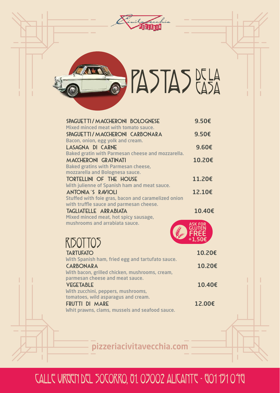



# PASTAS DE LA

| SPAGUETTI / MACCHERONI BOLOGNESE<br>Mixed minced meat with tomato sauce.                                                       | 9.50€           |  |
|--------------------------------------------------------------------------------------------------------------------------------|-----------------|--|
| SPAGUETTI/MACCHERONI CARBONARA<br>Bacon, onion, egg yolk and cream.                                                            | 9.50€           |  |
| LASAGNA DI CARNE                                                                                                               | $9.60 \epsilon$ |  |
| Baked gratin with Parmesan cheese and mozzarella.<br><b>MACCHERONI GRATINATI</b><br><b>Baked gratins with Parmesan cheese,</b> | 10.20€          |  |
| mozzarella and Bolognesa sauce.<br><b>TORTELLINI OF THE HOUSE</b><br>With julienne of Spanish ham and meat sauce.              | 11.20€          |  |
| <b>ANTONIA'S RAVIOLI</b><br>Stuffed with foie gras, bacon and caramelized onion                                                | 12.10€          |  |
| with truffle sauce and parmesan cheese.<br>TAGLIATELLE ARRABIATA<br>Mixed minced meat, hot spicy sausage,                      | 10.40€          |  |
| mushrooms and arrabiata sauce.                                                                                                 |                 |  |
| RISOTTOS                                                                                                                       |                 |  |
| <b>TARTUFATO</b><br>With Spanish ham, fried egg and tartufato sauce.                                                           | 10.20€          |  |
| CARBONARA<br>With bacon, grilled chicken, mushrooms, cream,                                                                    | 10.20€          |  |
| parmesan cheese and meat sauce.<br><b>VEGETABLE</b>                                                                            | 10.40€          |  |
| With zucchini, peppers, mushrooms,<br>tomatoes, wild asparagus and cream.<br>FRUTTI DI MARE                                    | 12.00€          |  |
| Whit prawns, clams, mussels and seafood sauce.                                                                                 |                 |  |

pizzeriacivitavecchia.com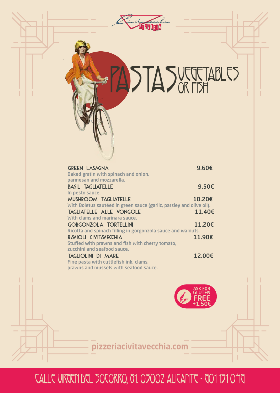| ita recchia                                                                                                                                                              |                  |
|--------------------------------------------------------------------------------------------------------------------------------------------------------------------------|------------------|
|                                                                                                                                                                          |                  |
| ASTASUE TABLES                                                                                                                                                           |                  |
| <b>GREEN LASAGNA</b><br>Baked gratin with spinach and onion,                                                                                                             | 9.60€            |
| parmesan and mozzarella.<br><b>BASIL TAGLIATELLE</b>                                                                                                                     | 9.50€            |
| In pesto sauce.<br><b>MUSHROOM TAGLIATELLE</b><br>With Boletus sautéed in green sauce (garlic, parsley and olive oil).<br>TAGLIATELLE ALLE VONGOLE                       | 10.20€<br>11.40€ |
| With clams and marinara sauce.<br><b>GORGONZOLA TORTELLINI</b>                                                                                                           | 11.20€           |
| Ricotta and spinach filling in gorgonzola sauce and walnuts.<br>RAVIOLI CIVITAVECCHIA<br>Stuffed with prawns and fish with cherry tomato,<br>zucchini and seafood sauce. | 11.90€           |
| <b>TAGLIOLINI DI MARE</b><br>Fine pasta with cuttlefish ink, clams,<br>prawns and mussels with seafood sauce.                                                            | 12.00€           |
|                                                                                                                                                                          | ASK FOR          |
| pizzeriacivitavecchia.com                                                                                                                                                |                  |

# Calle Virgen del Socorro, 81. 03002 Alicante - 601 151 046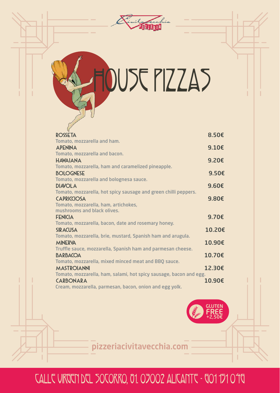

DUSE PIZZAS

| <b>ROSSETA</b>                                                     | 8.50€           |
|--------------------------------------------------------------------|-----------------|
| Tomato, mozzarella and ham.                                        |                 |
| <b>APENINA</b>                                                     | $9.10 \epsilon$ |
| Tomato, mozzarella and bacon.                                      |                 |
| <b>HAWAIANA</b>                                                    | 9.20€           |
| Tomato, mozzarella, ham and caramelized pineapple.                 |                 |
| <b>BOLOGNESE</b>                                                   | 9.50€           |
| Tomato, mozzarella and bolognesa sauce.                            |                 |
| <b>DIAVOLA</b>                                                     | $9.60\epsilon$  |
| Tomato, mozzarella, hot spicy sausage and green chilli peppers.    |                 |
| <b>CAPRICCIOSA</b>                                                 | $9.80 \epsilon$ |
| Tomato, mozzarella, ham, artichokes,                               |                 |
| mushrooms and black olives.                                        |                 |
| <b>FENICIA</b>                                                     | 9.70€           |
| Tomato, mozzarella, bacon, date and rosemary honey.                |                 |
| <b>SIRACUSA</b>                                                    | 10.20€          |
| Tomato, mozzarella, brie, mustard, Spanish ham and arugula.        |                 |
| <b>MINERVA</b>                                                     | 10.90€          |
| Truffle sauce, mozzarella, Spanish ham and parmesan cheese.        |                 |
| <b>BARBACOA</b>                                                    | 10.70€          |
| Tomato, mozzarella, mixed minced meat and BBQ sauce.               |                 |
| <b>MASTROIANNI</b>                                                 | 12.30€          |
| Tomato, mozzarella, ham, salami, hot spicy sausage, bacon and egg. |                 |
| <b>CARBONARA</b>                                                   | 10.90€          |
| Cream, mozzarella, parmesan, bacon, onion and egg yolk.            |                 |



pizzeriacivitavecchia.com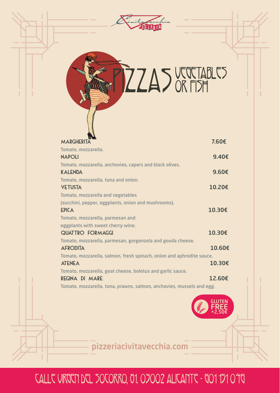

**ZZAS VEGETABLES** 

| <b>MARGHERITA</b>                                                     | 7.60€           |
|-----------------------------------------------------------------------|-----------------|
| Tomato, mozzarella.                                                   |                 |
| <b>NAPOLI</b>                                                         | 9.40€           |
| Tomato, mozzarella, anchovies, capers and black olives.               |                 |
| <b>KALENDA</b>                                                        | $9.60 \epsilon$ |
| Tomato, mozzarella, tuna and onion.                                   |                 |
| <b>VETUSTA</b>                                                        | 10.20€          |
| <b>Tomato, mozzarella and vegetables</b>                              |                 |
| (zucchini, pepper, eggplants, onion and mushrooms).                   |                 |
| <b>EPICA</b>                                                          | 10.30€          |
| Tomato, mozzarella, parmesan and                                      |                 |
| eggplants with sweet cherry wine.                                     |                 |
| <b>QUATTRO FORMAGGI</b>                                               | 10.30€          |
| Tomato, mozzarella, parmesan, gorgonzola and gouda cheese.            |                 |
| <b>AFRODITA</b>                                                       | 10.60€          |
| Tomato, mozzarella, salmon, fresh spinach, onion and aphrodite sauce. |                 |
| <b>ATENEA</b>                                                         | 10.30€          |
| Tomato, mozzarella, goat cheese, boletus and garlic sauce.            |                 |
| REGINA DI MARE                                                        | 12.60€          |
| Tomato, mozzarella, tuna, prawns, salmon, anchovies, mussels and egg. |                 |



pizzeriacivitavecchia.com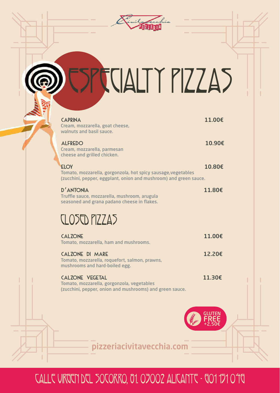

# ESPECIALTY PIZZAS

| <b>CAPRINA</b><br>Cream, mozzarella, goat cheese,<br>walnuts and basil sauce.                                                                     | 11.00€ |
|---------------------------------------------------------------------------------------------------------------------------------------------------|--------|
| <b>ALFREDO</b><br>Cream, mozzarella, parmesan<br>cheese and grilled chicken.                                                                      | 10.90€ |
| <b>ELOY</b><br>Tomato, mozzarella, gorgonzola, hot spicy sausage, vegetables<br>(zucchini, pepper, eggplant, onion and mushroom) and green sauce. | 10.80€ |
| <b>D'ANTONIA</b><br>Truffle sauce, mozzarella, mushroom, arugula<br>seasoned and grana padano cheese in flakes.                                   | 11.80€ |
| <b>CLOSED PIZZAS</b>                                                                                                                              |        |
| <b>CALZONE</b><br>Tomato, mozzarella, ham and mushrooms.                                                                                          | 11.00€ |
| <b>CALZONE DI MARE</b><br>Tomato, mozzarella, roquefort, salmon, prawns,<br>mushrooms and hard-boiled egg.                                        | 12.20€ |
| <b>CALZONE VEGETAL</b><br>Tomato, mozzarella, gorgonzola, vegetables<br>(zucchini, pepper, onion and mushrooms) and green sauce.                  | 11.30€ |
|                                                                                                                                                   |        |
|                                                                                                                                                   |        |
| pizzeriacivitavecchia.co                                                                                                                          |        |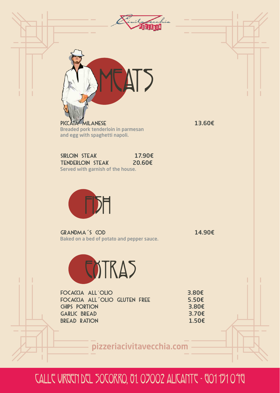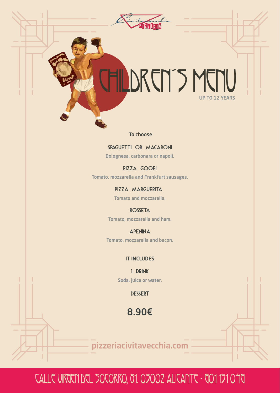# UP TO 12 YEARS CHILDREN´S MENU

Marchia

To choose

SPAGUETTI OR MACARONI Bolognesa, carbonara or napoli.

PIZZA GOOFI Tomato, mozzarella and Frankfurt sausages.

> PIZZA MARGUERITA Tomato and mozzarella.

ROSSETA Tomato, mozzarella and ham.

APENINA Tomato, mozzarella and bacon.

IT INCLUDES

1 DRINK Soda, juice or water.

**DESSERT** 

8.90€

pizzeriacivitavecchia.com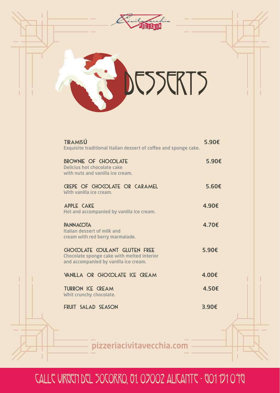

| TIRAMISÚ<br>Exquisite traditional Italian dessert of coffee and sponge cake.                                         | 5.90€ |
|----------------------------------------------------------------------------------------------------------------------|-------|
| <b>BROWNIE OF CHOCOLATE</b><br><b>Delicius hot chocolate cake</b><br>with nuts and vanilla ice cream.                | 5.90€ |
| CREPE OF CHOCOLATE OR CARAMEL<br>With vanilla ice cream.                                                             | 5.60€ |
| <b>APPLE CAKE</b><br>Hot and accompanied by vanilla ice cream.                                                       | 4.90€ |
| <b>PANNACOTA</b><br>Italian dessert of milk and<br>cream with red berry marmalade.                                   | 4.70€ |
| CHOCOLATE COULANT GLUTEN FREE<br>Chocolate sponge cake with melted interior<br>and accompanied by vanilla ice cream. | 5.90€ |
| VANILLA OR CHOCOLATE ICE CREAM                                                                                       | 4.00€ |
| <b>TURRON ICE CREAM</b><br>Whit crunchy chocolate.                                                                   | 4.50€ |
| FRUIT SALAD SEASON                                                                                                   | 3.90€ |
|                                                                                                                      |       |

pizzeriacivitavecchia.com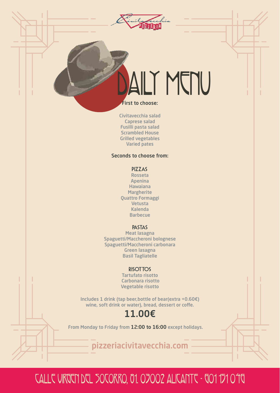

# ALIT MENU

#### First to choose:

Civitavecchia salad Caprese salad Fusilli pasta salad Scrambled House Grilled vegetables Varied pates

#### Seconds to choose from:

PIZZAS

Rosseta Apenina Hawaiana **Margherite** Quattro Formaggi Vetusta Kalenda Barbecue

#### PASTAS

Meat lasagna Spaguetti/Maccheroni bolognese Spaguetti/Maccheroni carbonara Green lasagna Basil Tagliatelle

#### **RISOTTOS**

Tartufato risotto Carbonara risotto Vegetable risotto

Includes 1 drink (tap beer,bottle of bear(extra +0.60€) wine, soft drink or water), bread, dessert or coffe.

### 11.00€

From Monday to Friday from 12:00 to 16:00 except holidays.

pizzeriacivitavecchia.com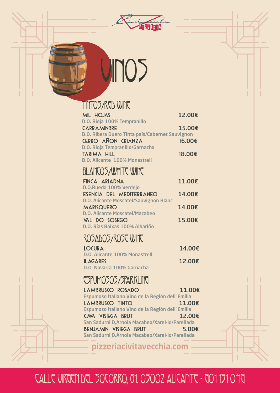

# VINOS

### TINTOS/RED WINE

| <b>MIL HOJAS</b>                                                   | 12.00€ |
|--------------------------------------------------------------------|--------|
| D.O. Rioja 100% Tempranillo<br><b>CARRAMINBRE</b>                  | 15.00€ |
| D.O. Ribera Duero Tinta país/Cabernet Sauvignon                    |        |
| CERRO AÑON CRIANZA                                                 | 16.00€ |
| D.O. Rioja Tempranillo/Garnacha                                    |        |
| <b>TARIMA HILL</b>                                                 | 18,00€ |
| D.O. Alicante 100% Monastrell                                      |        |
| BLANCOS/WHITT WINT                                                 |        |
| FINCA ARIADNA                                                      | 11.00€ |
| D.O.Rueda 100% Verdejo                                             |        |
| ESENCIA DEL MEDITERRANEO                                           | 14.00€ |
| <b>D.O. Alicante Moscatel/Sauvignon Blanc</b><br><b>MARISQUERO</b> | 14.00€ |
| <b>D.O. Alicante Moscatel/Macabeo</b>                              |        |
| VAL DO SOSEGO                                                      | 15.00€ |
| D.O. Rías Baixas 100% Albariño                                     |        |
| ROSADOS/ROST WITT                                                  |        |
| <b>LOCURA</b>                                                      | 14.00€ |
| <b>D.O. Alicante 100% Monastrell</b>                               |        |
| <b>ILAGARES</b>                                                    | 12.00€ |
| D.O. Navarra 100% Garnacha                                         |        |
| <b>TSPUMOSOS/SPARKLING</b>                                         |        |
| <b>LAMBRUSCO ROSADO</b>                                            | 11.00€ |
| Espumoso Italiano Vino de la Región dell'Emilia                    |        |
| <b>LAMBRUSCO TINTO</b>                                             | 11.00€ |
| Espumoso Italiano Vino de la Región dell'Emilia                    |        |
| CAVA VISIEGA BRUT                                                  | 12.00€ |
| San Sadurni D, Arnoia Macabeo/Xarel-lo/Parellada                   |        |

BENJAMIN VISIEGA BRUT 5.00€ San Sadurni D,Arnoia Macabeo/Xarel-lo/Parellada

pizzeriacivitavecchia.com